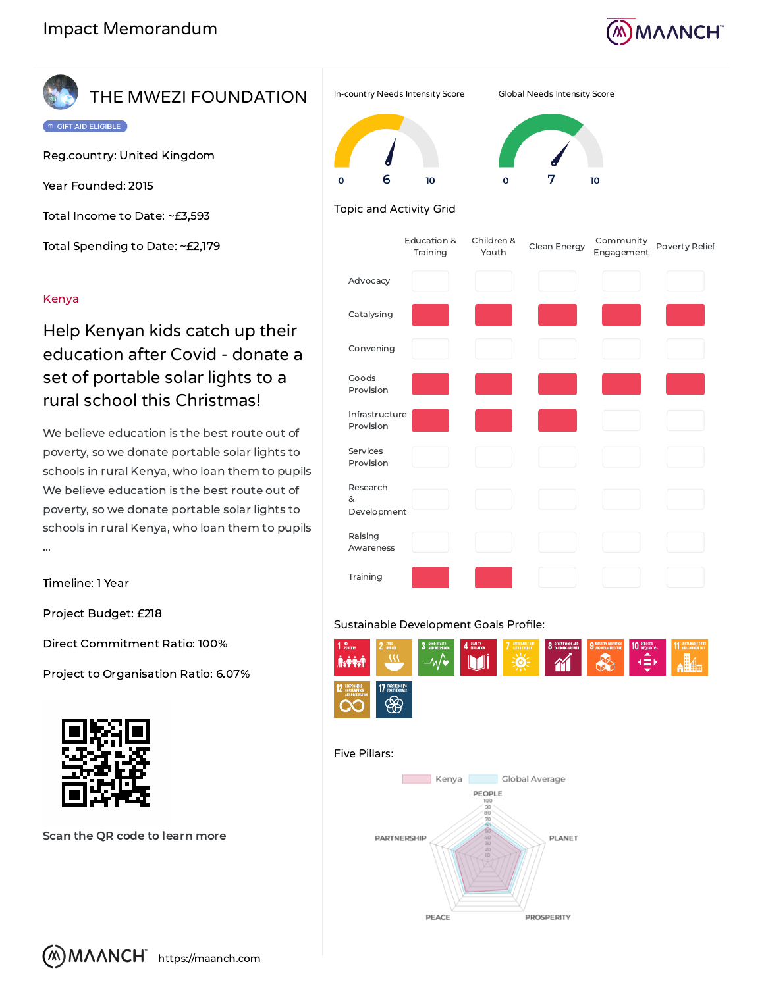

# THE MWEZI FOUNDATION

GIFT AID ELIGIBLE

Reg.country: United Kingdom

Year Founded: 2015

Total Income to Date: ~£3,593

Total Spending to Date: ~£2,179

### Kenya

## Help Kenyan kids catch up their education after Covid - donate a set of portable solar lights to a rural school this Christmas!

We believe education is the best route out of poverty, so we donate portable solar lights to schools in rural Kenya, who loan them to pupils We believe education is the best route out of poverty, so we donate portable solar lights to schools in rural Kenya, who loan them to pupils ...

Timeline: 1 Year

Project Budget: £218

Direct Commitment Ratio: 100%

Project to Organisation Ratio: 6.07%



Scan the QR code to learn more



# 10

## Topic and Activity Grid

6

10

|                              | Education &<br>Training | Children &<br>Youth | Clean Energy | Community<br>Engagement | Poverty Relief |
|------------------------------|-------------------------|---------------------|--------------|-------------------------|----------------|
| Advocacy                     |                         |                     |              |                         |                |
| Catalysing                   |                         |                     |              |                         |                |
| Convening                    |                         |                     |              |                         |                |
| Goods<br>Provision           |                         |                     |              |                         |                |
| Infrastructure<br>Provision  |                         |                     |              |                         |                |
| Services<br>Provision        |                         |                     |              |                         |                |
| Research<br>&<br>Development |                         |                     |              |                         |                |
| Raising<br>Awareness         |                         |                     |              |                         |                |
| Training                     |                         |                     |              |                         |                |

### Sustainable Development Goals Profile:



#### Five Pillars: